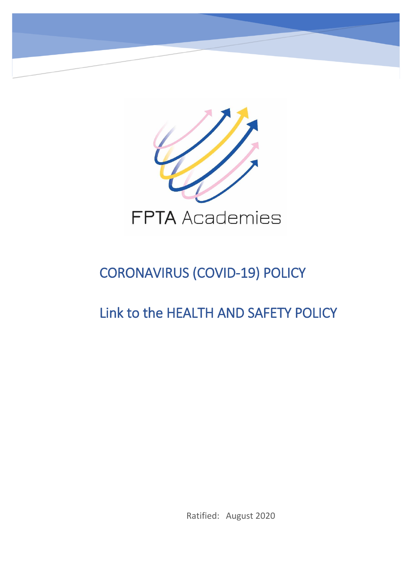

# CORONAVIRUS (COVID-19) POLICY

# Link to the HEALTH AND SAFETY POLICY

Ratified: August 2020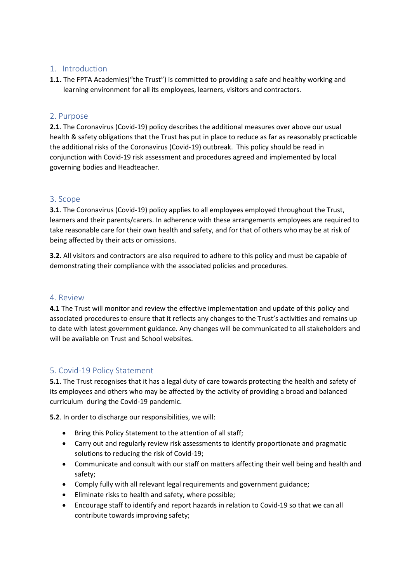### 1. Introduction

**1.1.** The FPTA Academies("the Trust") is committed to providing a safe and healthy working and learning environment for all its employees, learners, visitors and contractors.

#### 2. Purpose

**2.1**. The Coronavirus (Covid-19) policy describes the additional measures over above our usual health & safety obligations that the Trust has put in place to reduce as far as reasonably practicable the additional risks of the Coronavirus (Covid-19) outbreak. This policy should be read in conjunction with Covid-19 risk assessment and procedures agreed and implemented by local governing bodies and Headteacher.

# 3. Scope

**3.1**. The Coronavirus (Covid-19) policy applies to all employees employed throughout the Trust, learners and their parents/carers. In adherence with these arrangements employees are required to take reasonable care for their own health and safety, and for that of others who may be at risk of being affected by their acts or omissions.

**3.2**. All visitors and contractors are also required to adhere to this policy and must be capable of demonstrating their compliance with the associated policies and procedures.

#### 4. Review

**4.1** The Trust will monitor and review the effective implementation and update of this policy and associated procedures to ensure that it reflects any changes to the Trust's activities and remains up to date with latest government guidance. Any changes will be communicated to all stakeholders and will be available on Trust and School websites.

# 5. Covid-19 Policy Statement

**5.1**. The Trust recognises that it has a legal duty of care towards protecting the health and safety of its employees and others who may be affected by the activity of providing a broad and balanced curriculum during the Covid-19 pandemic.

**5.2**. In order to discharge our responsibilities, we will:

- Bring this Policy Statement to the attention of all staff;
- Carry out and regularly review risk assessments to identify proportionate and pragmatic solutions to reducing the risk of Covid-19;
- Communicate and consult with our staff on matters affecting their well being and health and safety;
- Comply fully with all relevant legal requirements and government guidance;
- Eliminate risks to health and safety, where possible;
- Encourage staff to identify and report hazards in relation to Covid-19 so that we can all contribute towards improving safety;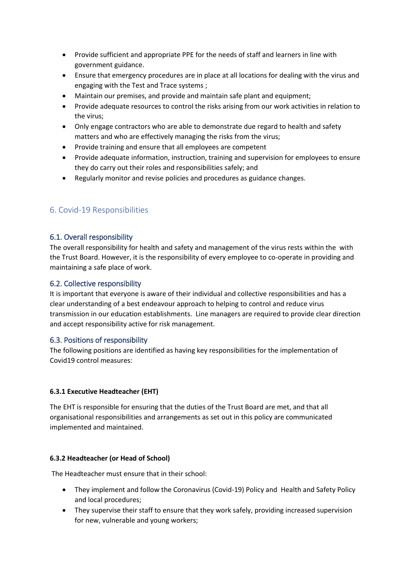- Provide sufficient and appropriate PPE for the needs of staff and learners in line with government guidance.
- Ensure that emergency procedures are in place at all locations for dealing with the virus and engaging with the Test and Trace systems ;
- Maintain our premises, and provide and maintain safe plant and equipment;
- Provide adequate resources to control the risks arising from our work activities in relation to the virus;
- Only engage contractors who are able to demonstrate due regard to health and safety matters and who are effectively managing the risks from the virus;
- Provide training and ensure that all employees are competent
- Provide adequate information, instruction, training and supervision for employees to ensure they do carry out their roles and responsibilities safely; and
- Regularly monitor and revise policies and procedures as guidance changes.

# 6. Covid-19 Responsibilities

### 6.1. Overall responsibility

The overall responsibility for health and safety and management of the virus rests within the with the Trust Board. However, it is the responsibility of every employee to co-operate in providing and maintaining a safe place of work.

### 6.2. Collective responsibility

It is important that everyone is aware of their individual and collective responsibilities and has a clear understanding of a best endeavour approach to helping to control and reduce virus transmission in our education establishments. Line managers are required to provide clear direction and accept responsibility active for risk management.

#### 6.3. Positions of responsibility

The following positions are identified as having key responsibilities for the implementation of Covid19 control measures:

#### **6.3.1 Executive Headteacher (EHT)**

The EHT is responsible for ensuring that the duties of the Trust Board are met, and that all organisational responsibilities and arrangements as set out in this policy are communicated implemented and maintained.

#### **6.3.2 Headteacher (or Head of School)**

The Headteacher must ensure that in their school:

- They implement and follow the Coronavirus (Covid-19) Policy and Health and Safety Policy and local procedures;
- They supervise their staff to ensure that they work safely, providing increased supervision for new, vulnerable and young workers;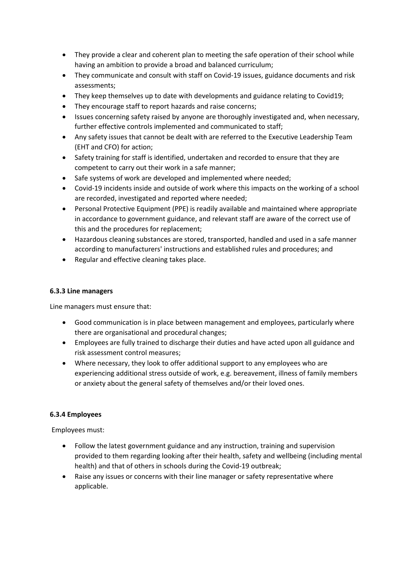- They provide a clear and coherent plan to meeting the safe operation of their school while having an ambition to provide a broad and balanced curriculum;
- They communicate and consult with staff on Covid-19 issues, guidance documents and risk assessments;
- They keep themselves up to date with developments and guidance relating to Covid19;
- They encourage staff to report hazards and raise concerns;
- Issues concerning safety raised by anyone are thoroughly investigated and, when necessary, further effective controls implemented and communicated to staff;
- Any safety issues that cannot be dealt with are referred to the Executive Leadership Team (EHT and CFO) for action;
- Safety training for staff is identified, undertaken and recorded to ensure that they are competent to carry out their work in a safe manner;
- Safe systems of work are developed and implemented where needed;
- Covid-19 incidents inside and outside of work where this impacts on the working of a school are recorded, investigated and reported where needed;
- Personal Protective Equipment (PPE) is readily available and maintained where appropriate in accordance to government guidance, and relevant staff are aware of the correct use of this and the procedures for replacement;
- Hazardous cleaning substances are stored, transported, handled and used in a safe manner according to manufacturers' instructions and established rules and procedures; and
- Regular and effective cleaning takes place.

#### **6.3.3 Line managers**

Line managers must ensure that:

- Good communication is in place between management and employees, particularly where there are organisational and procedural changes;
- Employees are fully trained to discharge their duties and have acted upon all guidance and risk assessment control measures;
- Where necessary, they look to offer additional support to any employees who are experiencing additional stress outside of work, e.g. bereavement, illness of family members or anxiety about the general safety of themselves and/or their loved ones.

#### **6.3.4 Employees**

Employees must:

- Follow the latest government guidance and any instruction, training and supervision provided to them regarding looking after their health, safety and wellbeing (including mental health) and that of others in schools during the Covid-19 outbreak;
- Raise any issues or concerns with their line manager or safety representative where applicable.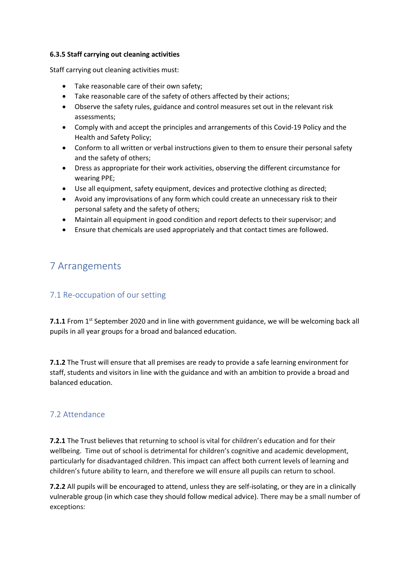#### **6.3.5 Staff carrying out cleaning activities**

Staff carrying out cleaning activities must:

- Take reasonable care of their own safety;
- Take reasonable care of the safety of others affected by their actions;
- Observe the safety rules, guidance and control measures set out in the relevant risk assessments;
- Comply with and accept the principles and arrangements of this Covid-19 Policy and the Health and Safety Policy;
- Conform to all written or verbal instructions given to them to ensure their personal safety and the safety of others;
- Dress as appropriate for their work activities, observing the different circumstance for wearing PPE;
- Use all equipment, safety equipment, devices and protective clothing as directed;
- Avoid any improvisations of any form which could create an unnecessary risk to their personal safety and the safety of others;
- Maintain all equipment in good condition and report defects to their supervisor; and
- Ensure that chemicals are used appropriately and that contact times are followed.

# 7 Arrangements

# 7.1 Re-occupation of our setting

**7.1.1** From 1<sup>st</sup> September 2020 and in line with government guidance, we will be welcoming back all pupils in all year groups for a broad and balanced education.

**7.1.2** The Trust will ensure that all premises are ready to provide a safe learning environment for staff, students and visitors in line with the guidance and with an ambition to provide a broad and balanced education.

# 7.2 Attendance

**7.2.1** The Trust believes that returning to school is vital for children's education and for their wellbeing. Time out of school is detrimental for children's cognitive and academic development, particularly for disadvantaged children. This impact can affect both current levels of learning and children's future ability to learn, and therefore we will ensure all pupils can return to school.

**7.2.2** All pupils will be encouraged to attend, unless they are self-isolating, or they are in a clinically vulnerable group (in which case they should follow medical advice). There may be a small number of exceptions: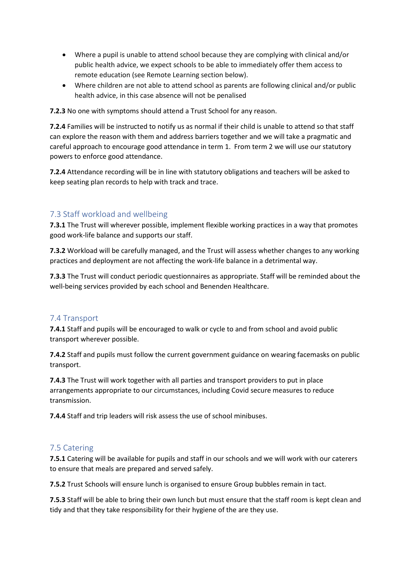- Where a pupil is unable to attend school because they are complying with clinical and/or public health advice, we expect schools to be able to immediately offer them access to remote education (see Remote Learning section below).
- Where children are not able to attend school as parents are following clinical and/or public health advice, in this case absence will not be penalised

**7.2.3** No one with symptoms should attend a Trust School for any reason.

**7.2.4** Families will be instructed to notify us as normal if their child is unable to attend so that staff can explore the reason with them and address barriers together and we will take a pragmatic and careful approach to encourage good attendance in term 1. From term 2 we will use our statutory powers to enforce good attendance.

**7.2.4** Attendance recording will be in line with statutory obligations and teachers will be asked to keep seating plan records to help with track and trace.

# 7.3 Staff workload and wellbeing

**7.3.1** The Trust will wherever possible, implement flexible working practices in a way that promotes good work-life balance and supports our staff.

**7.3.2** Workload will be carefully managed, and the Trust will assess whether changes to any working practices and deployment are not affecting the work-life balance in a detrimental way.

**7.3.3** The Trust will conduct periodic questionnaires as appropriate. Staff will be reminded about the well-being services provided by each school and Benenden Healthcare.

#### 7.4 Transport

**7.4.1** Staff and pupils will be encouraged to walk or cycle to and from school and avoid public transport wherever possible.

**7.4.2** Staff and pupils must follow the current government guidance on wearing facemasks on public transport.

**7.4.3** The Trust will work together with all parties and transport providers to put in place arrangements appropriate to our circumstances, including Covid secure measures to reduce transmission.

**7.4.4** Staff and trip leaders will risk assess the use of school minibuses.

# 7.5 Catering

**7.5.1** Catering will be available for pupils and staff in our schools and we will work with our caterers to ensure that meals are prepared and served safely.

**7.5.2** Trust Schools will ensure lunch is organised to ensure Group bubbles remain in tact.

**7.5.3** Staff will be able to bring their own lunch but must ensure that the staff room is kept clean and tidy and that they take responsibility for their hygiene of the are they use.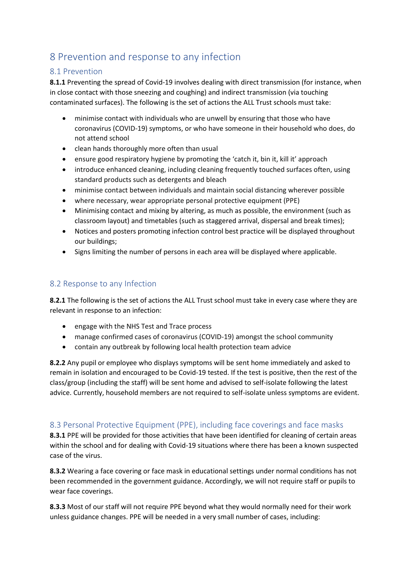# 8 Prevention and response to any infection

# 8.1 Prevention

**8.1.1** Preventing the spread of Covid-19 involves dealing with direct transmission (for instance, when in close contact with those sneezing and coughing) and indirect transmission (via touching contaminated surfaces). The following is the set of actions the ALL Trust schools must take:

- minimise contact with individuals who are unwell by ensuring that those who have coronavirus (COVID-19) symptoms, or who have someone in their household who does, do not attend school
- clean hands thoroughly more often than usual
- ensure good respiratory hygiene by promoting the 'catch it, bin it, kill it' approach
- introduce enhanced cleaning, including cleaning frequently touched surfaces often, using standard products such as detergents and bleach
- minimise contact between individuals and maintain social distancing wherever possible
- where necessary, wear appropriate personal protective equipment (PPE)
- Minimising contact and mixing by altering, as much as possible, the environment (such as classroom layout) and timetables (such as staggered arrival, dispersal and break times);
- Notices and posters promoting infection control best practice will be displayed throughout our buildings;
- Signs limiting the number of persons in each area will be displayed where applicable.

# 8.2 Response to any Infection

**8.2.1** The following is the set of actions the ALL Trust school must take in every case where they are relevant in response to an infection:

- engage with the NHS Test and Trace process
- manage confirmed cases of coronavirus (COVID-19) amongst the school community
- contain any outbreak by following local health protection team advice

**8.2.2** Any pupil or employee who displays symptoms will be sent home immediately and asked to remain in isolation and encouraged to be Covid-19 tested. If the test is positive, then the rest of the class/group (including the staff) will be sent home and advised to self-isolate following the latest advice. Currently, household members are not required to self-isolate unless symptoms are evident.

# 8.3 Personal Protective Equipment (PPE), including face coverings and face masks

**8.3.1** PPE will be provided for those activities that have been identified for cleaning of certain areas within the school and for dealing with Covid-19 situations where there has been a known suspected case of the virus.

**8.3.2** Wearing a face covering or face mask in educational settings under normal conditions has not been recommended in the government guidance. Accordingly, we will not require staff or pupils to wear face coverings.

**8.3.3** Most of our staff will not require PPE beyond what they would normally need for their work unless guidance changes. PPE will be needed in a very small number of cases, including: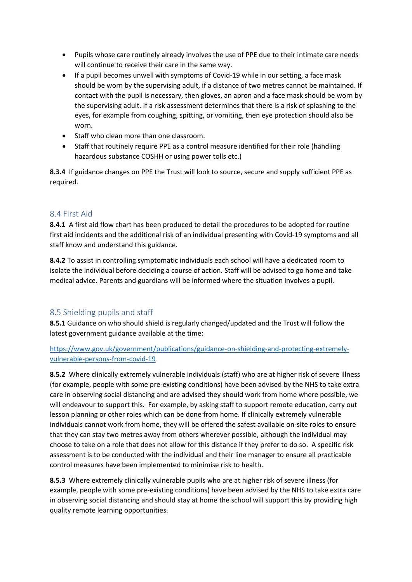- Pupils whose care routinely already involves the use of PPE due to their intimate care needs will continue to receive their care in the same way.
- If a pupil becomes unwell with symptoms of Covid-19 while in our setting, a face mask should be worn by the supervising adult, if a distance of two metres cannot be maintained. If contact with the pupil is necessary, then gloves, an apron and a face mask should be worn by the supervising adult. If a risk assessment determines that there is a risk of splashing to the eyes, for example from coughing, spitting, or vomiting, then eye protection should also be worn.
- Staff who clean more than one classroom.
- Staff that routinely require PPE as a control measure identified for their role (handling hazardous substance COSHH or using power tolls etc.)

**8.3.4** If guidance changes on PPE the Trust will look to source, secure and supply sufficient PPE as required.

### 8.4 First Aid

**8.4.1** A first aid flow chart has been produced to detail the procedures to be adopted for routine first aid incidents and the additional risk of an individual presenting with Covid-19 symptoms and all staff know and understand this guidance.

**8.4.2** To assist in controlling symptomatic individuals each school will have a dedicated room to isolate the individual before deciding a course of action. Staff will be advised to go home and take medical advice. Parents and guardians will be informed where the situation involves a pupil.

# 8.5 Shielding pupils and staff

**8.5.1** Guidance on who should shield is regularly changed/updated and the Trust will follow the latest government guidance available at the time:

[https://www.gov.uk/government/publications/guidance-on-shielding-and-protecting-extremely](https://www.gov.uk/government/publications/guidance-on-shielding-and-protecting-extremely-vulnerable-persons-from-covid-19)[vulnerable-persons-from-covid-19](https://www.gov.uk/government/publications/guidance-on-shielding-and-protecting-extremely-vulnerable-persons-from-covid-19)

**8.5.2** Where clinically extremely vulnerable individuals (staff) who are at higher risk of severe illness (for example, people with some pre-existing conditions) have been advised by the NHS to take extra care in observing social distancing and are advised they should work from home where possible, we will endeavour to support this. For example, by asking staff to support remote education, carry out lesson planning or other roles which can be done from home. If clinically extremely vulnerable individuals cannot work from home, they will be offered the safest available on-site roles to ensure that they can stay two metres away from others wherever possible, although the individual may choose to take on a role that does not allow for this distance if they prefer to do so. A specific risk assessment is to be conducted with the individual and their line manager to ensure all practicable control measures have been implemented to minimise risk to health.

**8.5.3** Where extremely clinically vulnerable pupils who are at higher risk of severe illness (for example, people with some pre-existing conditions) have been advised by the NHS to take extra care in observing social distancing and should stay at home the school will support this by providing high quality remote learning opportunities.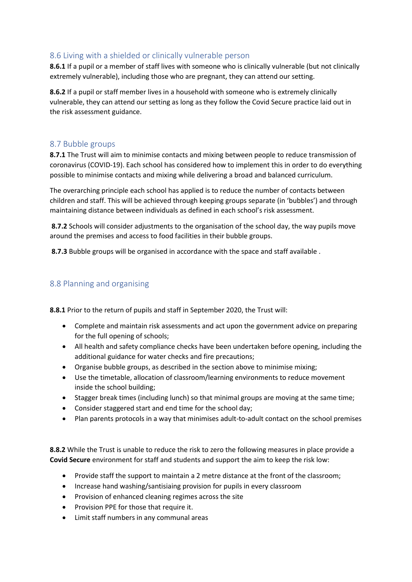# 8.6 Living with a shielded or clinically vulnerable person

**8.6.1** If a pupil or a member of staff lives with someone who is clinically vulnerable (but not clinically extremely vulnerable), including those who are pregnant, they can attend our setting.

**8.6.2** If a pupil or staff member lives in a household with someone who is extremely clinically vulnerable, they can attend our setting as long as they follow the Covid Secure practice laid out in the risk assessment guidance.

#### 8.7 Bubble groups

**8.7.1** The Trust will aim to minimise contacts and mixing between people to reduce transmission of coronavirus (COVID-19). Each school has considered how to implement this in order to do everything possible to minimise contacts and mixing while delivering a broad and balanced curriculum.

The overarching principle each school has applied is to reduce the number of contacts between children and staff. This will be achieved through keeping groups separate (in 'bubbles') and through maintaining distance between individuals as defined in each school's risk assessment.

**8.7.2** Schools will consider adjustments to the organisation of the school day, the way pupils move around the premises and access to food facilities in their bubble groups.

**8.7.3** Bubble groups will be organised in accordance with the space and staff available .

### 8.8 Planning and organising

**8.8.1** Prior to the return of pupils and staff in September 2020, the Trust will:

- Complete and maintain risk assessments and act upon the government advice on preparing for the full opening of schools;
- All health and safety compliance checks have been undertaken before opening, including the additional guidance for water checks and fire precautions;
- Organise bubble groups, as described in the section above to minimise mixing;
- Use the timetable, allocation of classroom/learning environments to reduce movement inside the school building;
- Stagger break times (including lunch) so that minimal groups are moving at the same time;
- Consider staggered start and end time for the school day;
- Plan parents protocols in a way that minimises adult-to-adult contact on the school premises

**8.8.2** While the Trust is unable to reduce the risk to zero the following measures in place provide a **Covid Secure** environment for staff and students and support the aim to keep the risk low:

- Provide staff the support to maintain a 2 metre distance at the front of the classroom;
- Increase hand washing/santisiaing provision for pupils in every classroom
- Provision of enhanced cleaning regimes across the site
- Provision PPE for those that require it.
- Limit staff numbers in any communal areas